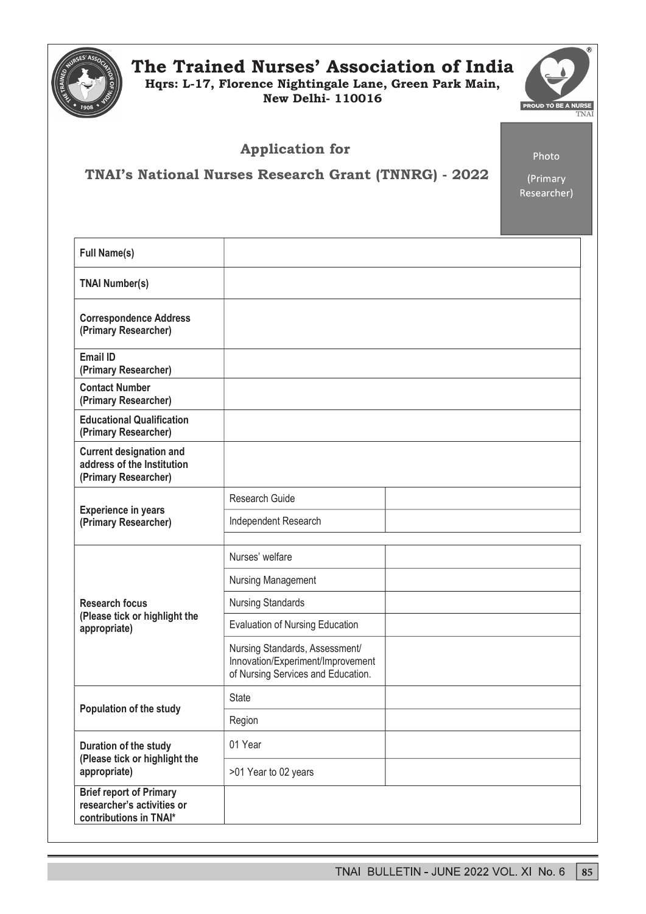

# The Trained Nurses' Association of India

Hqrs: L-17, Florence Nightingale Lane, Green Park Main, New Delhi- 110016



Application for

Photo

TNAI's National Nurses Research Grant (TNNRG) - 2022

(Primary Researcher)

| <b>Full Name(s)</b>                                                                    |                                                                                                           |  |
|----------------------------------------------------------------------------------------|-----------------------------------------------------------------------------------------------------------|--|
| <b>TNAI Number(s)</b>                                                                  |                                                                                                           |  |
| <b>Correspondence Address</b><br>(Primary Researcher)                                  |                                                                                                           |  |
| Email ID<br>(Primary Researcher)                                                       |                                                                                                           |  |
| <b>Contact Number</b><br>(Primary Researcher)                                          |                                                                                                           |  |
| <b>Educational Qualification</b><br>(Primary Researcher)                               |                                                                                                           |  |
| <b>Current designation and</b><br>address of the Institution<br>(Primary Researcher)   |                                                                                                           |  |
| <b>Experience in years</b><br>(Primary Researcher)                                     | Research Guide                                                                                            |  |
|                                                                                        | Independent Research                                                                                      |  |
| <b>Research focus</b><br>(Please tick or highlight the<br>appropriate)                 | Nurses' welfare                                                                                           |  |
|                                                                                        | Nursing Management                                                                                        |  |
|                                                                                        | <b>Nursing Standards</b>                                                                                  |  |
|                                                                                        | <b>Evaluation of Nursing Education</b>                                                                    |  |
|                                                                                        | Nursing Standards, Assessment/<br>Innovation/Experiment/Improvement<br>of Nursing Services and Education. |  |
| <b>Population of the study</b>                                                         | <b>State</b>                                                                                              |  |
|                                                                                        | Region                                                                                                    |  |
| Duration of the study<br>(Please tick or highlight the<br>appropriate)                 | 01 Year                                                                                                   |  |
|                                                                                        | >01 Year to 02 years                                                                                      |  |
| <b>Brief report of Primary</b><br>researcher's activities or<br>contributions in TNAI* |                                                                                                           |  |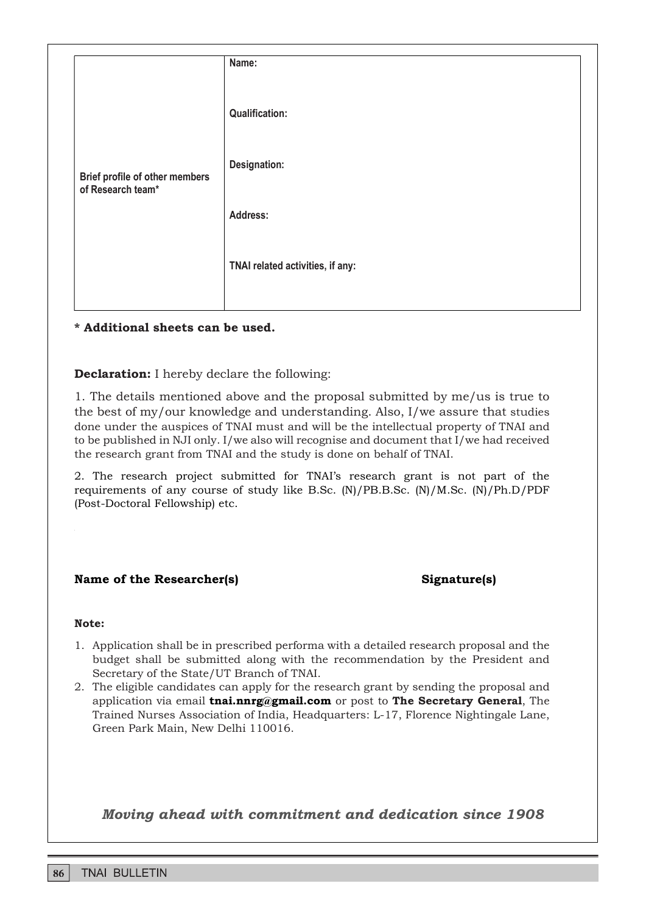| Brief profile of other members<br>of Research team* | Name:                            |
|-----------------------------------------------------|----------------------------------|
|                                                     | <b>Qualification:</b>            |
|                                                     | Designation:                     |
|                                                     | Address:                         |
|                                                     | TNAI related activities, if any: |
|                                                     |                                  |

\* Additional sheets can be used.

Declaration: I hereby declare the following:

1. The details mentioned above and the proposal submitted by me/us is true to the best of my/our knowledge and understanding. Also, I/we assure that studies done under the auspices of TNAI must and will be the intellectual property of TNAI and to be published in NJI only. I/we also will recognise and document that I/we had received the research grant from TNAI and the study is done on behalf of TNAI.

2. The research project submitted for TNAIs research grant is not part of the requirements of any course of study like B.Sc. (N)/PB.B.Sc. (N)/M.Sc. (N)/Ph.D/PDF (Post-Doctoral Fellowship) etc.

### Name of the Researcher(s) Signature(s)

#### Note:

- 1. Application shall be in prescribed performa with a detailed research proposal and the budget shall be submitted along with the recommendation by the President and Secretary of the State/UT Branch of TNAI.
- 2. The eligible candidates can apply for the research grant by sending the proposal and application via email tnai.nnrg@gmail.com or post to The Secretary General, The Trained Nurses Association of India, Headquarters: L-17, Florence Nightingale Lane, Green Park Main, New Delhi 110016.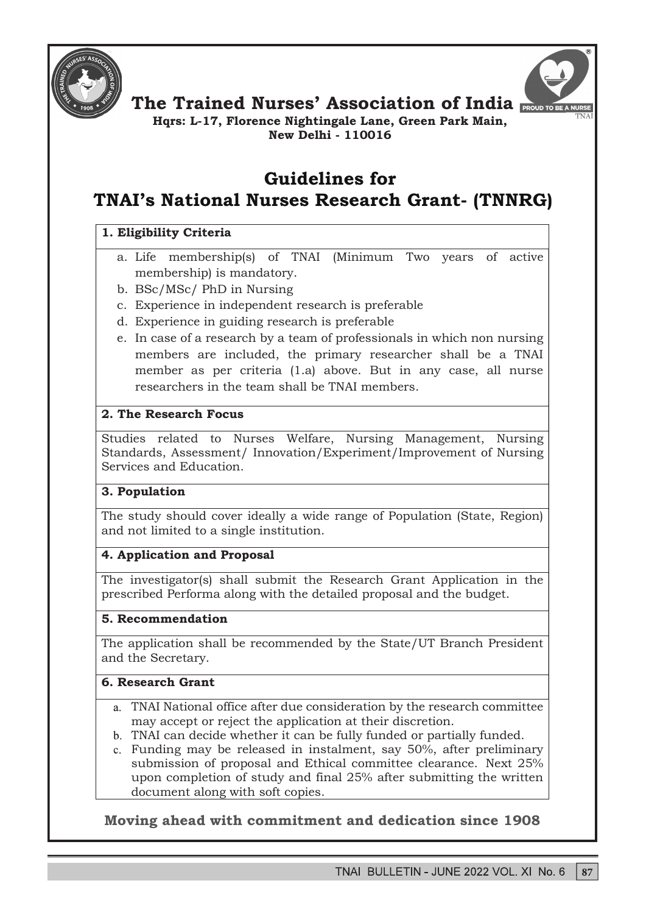



The Trained Nurses' Association of India

Hqrs: L-17, Florence Nightingale Lane, Green Park Main, New Delhi - 110016

# Guidelines for TNAI's National Nurses Research Grant- (TNNRG)

## 1. Eligibility Criteria

- a. Life membership(s) of TNAI (Minimum Two years of active membership) is mandatory.
- b. BSc/MSc/ PhD in Nursing
- c. Experience in independent research is preferable
- d. Experience in guiding research is preferable
- e. In case of a research by a team of professionals in which non nursing members are included, the primary researcher shall be a TNAI member as per criteria (1.a) above. But in any case, all nurse researchers in the team shall be TNAI members.

## 2. The Research Focus

Studies related to Nurses Welfare, Nursing Management, Nursing Standards, Assessment/ Innovation/Experiment/Improvement of Nursing Services and Education.

## 3. Population

The study should cover ideally a wide range of Population (State, Region) and not limited to a single institution.

## 4. Application and Proposal

The investigator(s) shall submit the Research Grant Application in the prescribed Performa along with the detailed proposal and the budget.

## 5. Recommendation

The application shall be recommended by the State/UT Branch President and the Secretary.

## 6. Research Grant

- TNAI National office after due consideration by the research committee may accept or reject the application at their discretion.
- TNAI can decide whether it can be fully funded or partially funded.
- Funding may be released in instalment, say 50%, after preliminary submission of proposal and Ethical committee clearance. Next 25% upon completion of study and final 25% after submitting the written document along with soft copies.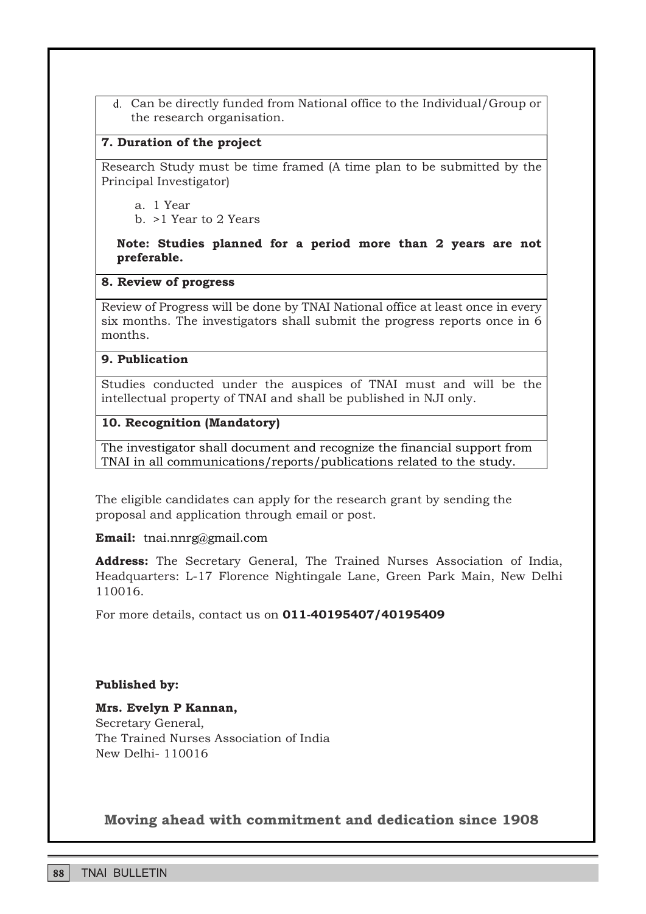Can be directly funded from National office to the Individual/Group or the research organisation.

## 7. Duration of the project

Research Study must be time framed (A time plan to be submitted by the Principal Investigator)

a. 1 Year

b. >1 Year to 2 Years

## Note: Studies planned for a period more than 2 years are not preferable.

### 8. Review of progress

Review of Progress will be done by TNAI National office at least once in every six months. The investigators shall submit the progress reports once in 6 months.

#### 9. Publication

Studies conducted under the auspices of TNAI must and will be the intellectual property of TNAI and shall be published in NJI only.

## 10. Recognition (Mandatory)

The investigator shall document and recognize the financial support from TNAI in all communications/reports/publications related to the study.

The eligible candidates can apply for the research grant by sending the proposal and application through email or post.

Email: tnai.nnrg@gmail.com

Address: The Secretary General, The Trained Nurses Association of India, Headquarters: L-17 Florence Nightingale Lane, Green Park Main, New Delhi 110016.

For more details, contact us on 011-40195407/40195409

## Published by:

## Mrs. Evelyn P Kannan,

Secretary General, The Trained Nurses Association of India New Delhi- 110016